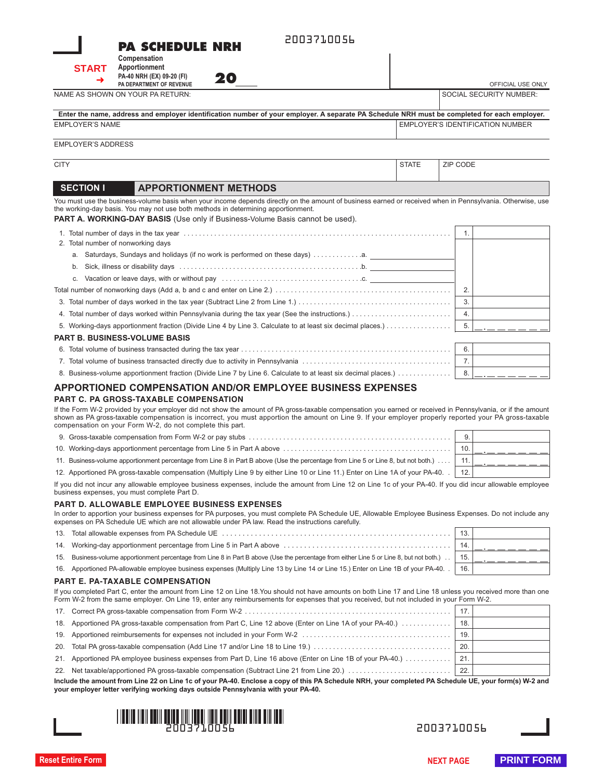#### 2003710056

**20** OFFICIAL USE ONLY

| <b>PA SCHEDULE NRH</b> |  |  |  |  |
|------------------------|--|--|--|--|
|------------------------|--|--|--|--|

**START**➜

**Apportionment PA-40 NRH (EX) 09-20 (FI) PA DEPARTMENT OF REVENUE**

**Compensation**

NAME AS SHOWN ON YOUR PA RETURN: SOCIAL SECURITY NUMBER:

| Enter the name, address and employer identification number of your employer. A separate PA Schedule NRH must be completed for each employer. |                                    |
|----------------------------------------------------------------------------------------------------------------------------------------------|------------------------------------|
| EMPLOYER'S NAME                                                                                                                              | I EMPLOYER'S IDENTIFICATION NUMBER |

EMPLOYER'S ADDRESS

CITY STATE ZIP CODE

#### **SECTION I APPORTIONMENT METHODS**

You must use the business-volume basis when your income depends directly on the amount of business earned or received when in Pennsylvania. Otherwise, use the working-day basis. You may not use both methods in determining apportionment.

**PART** A. WORKING-DAY BASIS (Use only if Business-Volume Basis cannot be used).

|                                      |    |                                                                                                                | 1. |  |
|--------------------------------------|----|----------------------------------------------------------------------------------------------------------------|----|--|
|                                      |    | 2. Total number of nonworking days                                                                             |    |  |
|                                      | a. |                                                                                                                |    |  |
|                                      | b. |                                                                                                                |    |  |
|                                      | C. | Vacation or leave days, with or without pay electron contained and contained the contact of the value of the v |    |  |
|                                      |    |                                                                                                                | 2. |  |
|                                      |    |                                                                                                                | 3. |  |
|                                      |    |                                                                                                                | 4. |  |
|                                      |    |                                                                                                                |    |  |
| <b>PART B. BUSINESS-VOLUME BASIS</b> |    |                                                                                                                |    |  |
|                                      |    |                                                                                                                | 6. |  |
|                                      |    |                                                                                                                | 7. |  |
|                                      |    | 8. Business-volume apportionment fraction (Divide Line 7 by Line 6. Calculate to at least six decimal places.) | 8. |  |

#### **APPORTIONED COMPENSATION AND/OR EMPLOYEE BUSINESS EXPENSES**

#### **PART C. PA GROSS-TAXABLE COMPENSATION**

If the Form W-2 provided by your employer did not show the amount of PA gross-taxable compensation you earned or received in Pennsylvania, or if the amount shown as PA gross-taxable compensation is incorrect, you must apportion the amount on Line 9. If your employer properly reported your PA gross-taxable compensation on your Form W-2, do not complete this part.

|                                                                                                                                    | 10. |  |
|------------------------------------------------------------------------------------------------------------------------------------|-----|--|
| 11. Business-volume apportionment percentage from Line 8 in Part B above (Use the percentage from Line 5 or Line 8, but not both.) | 11. |  |
| 12. Apportioned PA gross-taxable compensation (Multiply Line 9 by either Line 10 or Line 11.) Enter on Line 1A of your PA-40.      | 12. |  |

If you did not incur any allowable employee business expenses, include the amount from Line 12 on Line 1c of your PA-40. If you did incur allowable employee business expenses, you must complete Part D.

#### **PART D. ALLOWABLE EMPLOYEE BUSINESS EXPENSES**

In order to apportion your business expenses for PA purposes, you must complete PA Schedule UE, Allowable Employee Business Expenses. Do not include any expenses on PA Schedule UE which are not allowable under PA law. Read the instructions carefully.

| <b>BART F. BA TAVABLE COMBEMO ATION.</b>                                                                                                        |     |  |  |  |  |  |
|-------------------------------------------------------------------------------------------------------------------------------------------------|-----|--|--|--|--|--|
| 16. Apportioned PA-allowable employee business expenses (Multiply Line 13 by Line 14 or Line 15.) Enter on Line 1B of your PA-40. [16]          | 16. |  |  |  |  |  |
| 15. Business-volume apportionment percentage from Line 8 in Part B above (Use the percentage from either Line 5 or Line 8, but not both.)   15. |     |  |  |  |  |  |
|                                                                                                                                                 | 14. |  |  |  |  |  |
|                                                                                                                                                 |     |  |  |  |  |  |

#### **PART E. PA-TAXABLE COMPENSATION**

If you completed Part C, enter the amount from Line 12 on Line 18.You should not have amounts on both Line 17 and Line 18 unless you received more than one Form W-2 from the same employer. On Line 19, enter any reimbursements for expenses that you received, but not included in your Form W-2.

|                                                                                                                                                     |                                                                                                            | 19.         |  |  |
|-----------------------------------------------------------------------------------------------------------------------------------------------------|------------------------------------------------------------------------------------------------------------|-------------|--|--|
|                                                                                                                                                     |                                                                                                            |             |  |  |
|                                                                                                                                                     | 21. Apportioned PA employee business expenses from Part D, Line 16 above (Enter on Line 1B of your PA-40.) | $\vert$ 21. |  |  |
|                                                                                                                                                     |                                                                                                            |             |  |  |
| Include the emeunt from Line 22 on Line 16 of vour DA 40. Englace a convert this DA Cebedule NDH vour completed DA Cebedule HE vour ferm(a) W 2 and |                                                                                                            |             |  |  |

**Include the amount from Line 22 on Line 1c of your PA-40. Enclose a copy of this PA Schedule NRH, your completed PA Schedule UE, your form(s) W-2 and your employer letter verifying working days outside Pennsylvania with your PA-40.**



2003710056 2003710056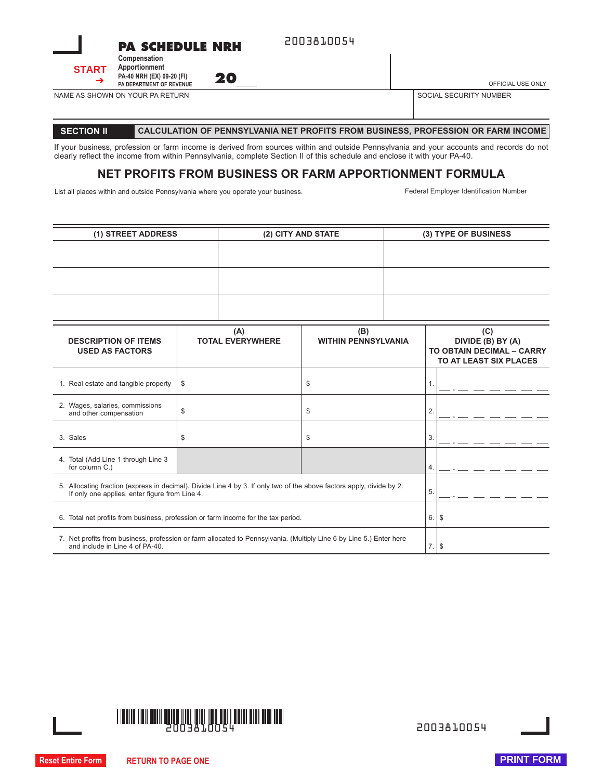



NAME AS SHOWN ON YOUR PA RETURN

**20** OFFICIAL USE ONLY

SOCIAL SECURITY NUMBER

#### **SECTION II CALCULATION OF PENNSYLVANIA NET PROFITS FROM BUSINESS, PROFESSION OR FARM INCOME**

If your business, profession or farm income is derived from sources within and outside Pennsylvania and your accounts and records do not clearly reflect the income from within Pennsylvania, complete Section II of this schedule and enclose it with your PA-40.

#### **NET PROFITS FROM BUSINESS OR FARM APPORTIONMENT FORMULA**

List all places within and outside Pennsylvania where you operate your business. Federal Employer Identification Number

| (1) STREET ADDRESS                                                                                                                                                      |    | (2) CITY AND STATE             |                                   | (3) TYPE OF BUSINESS |                                                                                 |  |
|-------------------------------------------------------------------------------------------------------------------------------------------------------------------------|----|--------------------------------|-----------------------------------|----------------------|---------------------------------------------------------------------------------|--|
|                                                                                                                                                                         |    |                                |                                   |                      |                                                                                 |  |
| <b>DESCRIPTION OF ITEMS</b><br><b>USED AS FACTORS</b>                                                                                                                   |    | (A)<br><b>TOTAL EVERYWHERE</b> | (B)<br><b>WITHIN PENNSYLVANIA</b> |                      | (C)<br>DIVIDE (B) BY (A)<br>TO OBTAIN DECIMAL - CARRY<br>TO AT LEAST SIX PLACES |  |
| 1. Real estate and tangible property                                                                                                                                    | \$ |                                | \$                                | 1.                   |                                                                                 |  |
| 2. Wages, salaries, commissions<br>and other compensation                                                                                                               | \$ |                                | \$                                | $\overline{2}$       |                                                                                 |  |
| 3. Sales                                                                                                                                                                | \$ |                                | \$                                | 3.                   |                                                                                 |  |
| 4. Total (Add Line 1 through Line 3<br>for column C.)                                                                                                                   |    |                                | 4.                                |                      |                                                                                 |  |
| 5. Allocating fraction (express in decimal). Divide Line 4 by 3. If only two of the above factors apply, divide by 2.<br>If only one applies, enter figure from Line 4. |    |                                |                                   |                      |                                                                                 |  |
| 6. Total net profits from business, profession or farm income for the tax period.                                                                                       |    |                                |                                   |                      | 6.<br><b>\$</b>                                                                 |  |
| 7. Net profits from business, profession or farm allocated to Pennsylvania. (Multiply Line 6 by Line 5.) Enter here<br>and include in Line 4 of PA-40.                  |    |                                |                                   |                      | 7.<br>\$                                                                        |  |



**Reset Entire Form RETURN TO PAGE ONE PRINT FORM**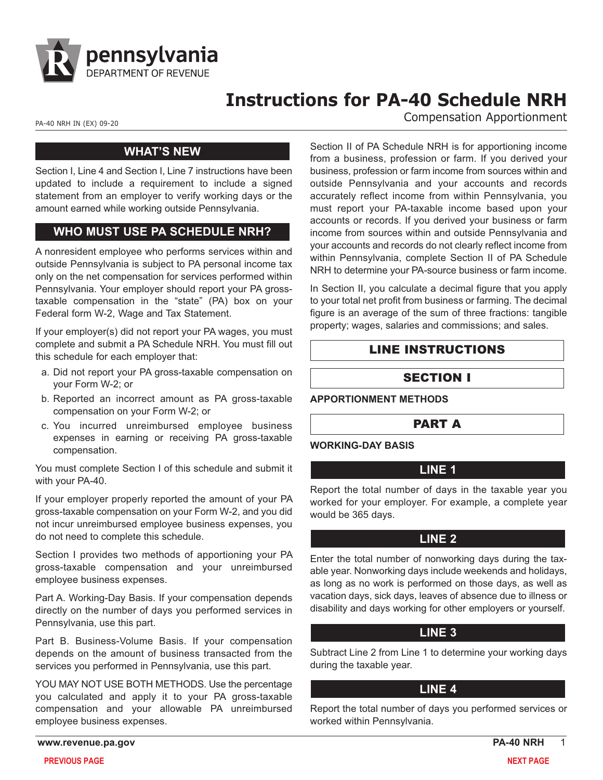

# **Instructions for PA-40 Schedule NRH**

PA-40 NRH IN (EX) 09-20 **Compensation Apportionment** 

#### **WHAT'SNEW**

Section I, Line 4 and Section I, Line 7 instructions have been updated to include a requirement to include a signed statement from an employer to verify working days or the amount earned while working outside Pennsylvania.

#### **WHO MUST USE PA SCHEDULE NRH?**

A nonresident employee who performs services within and outside Pennsylvania is subject to PA personal income tax only on the net compensation for services performed within Pennsylvania. Your employer should report your PA grosstaxable compensation in the "state" (PA) box on your Federal form W-2, Wage and Tax Statement.

If your employer(s) did not report your PA wages, you must complete and submit a PA Schedule NRH. You must fill out this schedule for each employer that:

- a. Did not report your PA gross-taxable compensation on your Form W-2; or
- b. Reported an incorrect amount as PA gross-taxable compensation on your Form W-2; or
- c. You incurred unreimbursed employee business expenses in earning or receiving PA gross-taxable compensation.

You must complete Section I of this schedule and submit it with your PA-40.

If your employer properly reported the amount of your PA gross-taxable compensation on your Form W-2, and you did not incur unreimbursed employee business expenses, you do not need to complete this schedule.

Section I provides two methods of apportioning your PA gross-taxable compensation and your unreimbursed employee business expenses.

Part A. Working-Day Basis. If your compensation depends directly on the number of days you performed services in Pennsylvania, use this part.

Part B. Business-Volume Basis. If your compensation depends on the amount of business transacted from the services you performed in Pennsylvania, use this part.

YOU MAY NOT USE BOTH METHODS. Use the percentage you calculated and apply it to your PA gross-taxable compensation and your allowable PA unreimbursed employee business expenses.

Section II of PA Schedule NRH is for apportioning income from a business, profession or farm. If you derived your business, profession or farm income from sources within and outside Pennsylvania and your accounts and records accurately reflect income from within Pennsylvania, you must report your PA-taxable income based upon your accounts or records. If you derived your business or farm income from sources within and outside Pennsylvania and your accounts and records do not clearly reflect income from within Pennsylvania, complete Section II of PA Schedule NRH to determine your PA-source business or farm income.

In Section II, you calculate a decimal figure that you apply to your total net profit from business or farming. The decimal figure is an average of the sum of three fractions: tangible property; wages, salaries and commissions; and sales.

# LINE INSTRUCTIONS

# SECTION I

**APPORTIONMENT METHODS**

#### PART A

#### **WORKING-DAY BASIS**

#### **LINE 1**

Report the total number of days in the taxable year you worked for your employer. For example, a complete year would be 365 days.

#### **LINE 2**

Enter the total number of nonworking days during the taxable year. Nonworking days include weekends and holidays, as long as no work is performed on those days, as well as vacation days, sick days, leaves of absence due to illness or disability and days working for other employers or yourself.

#### **LINE 3**

Subtract Line 2 from Line 1 to determine your working days during the taxable year.

#### **LINE 4**

Report the total number of days you performed services or worked within Pennsylvania.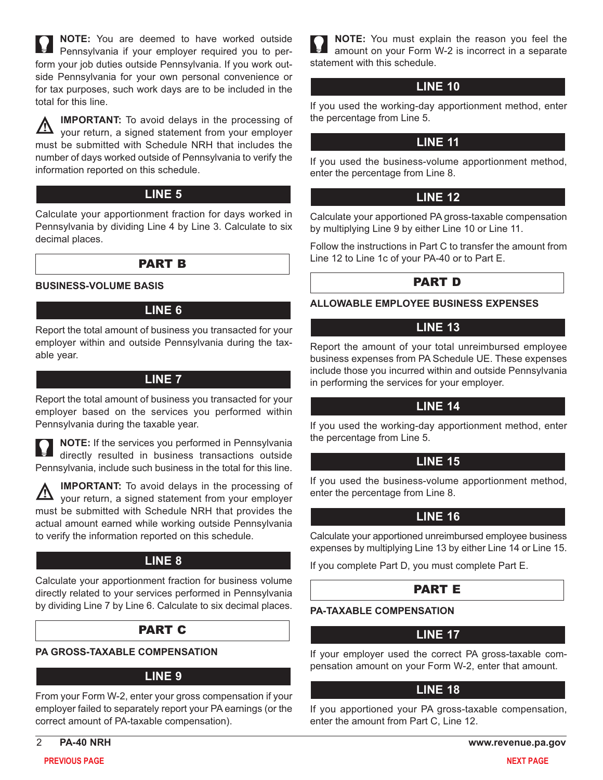**NOTE:** You are deemed to have worked outside Pennsylvania if your employer required you to perform your job duties outside Pennsylvania. If you work outside Pennsylvania for your own personal convenience or for tax purposes, such work days are to be included in the total for this line.

**IMPORTANT:** To avoid delays in the processing of 丛 your return, a signed statement from your employer must be submitted with Schedule NRH that includes the number of days worked outside of Pennsylvania to verify the information reported on this schedule.

## **LINE 5**

Calculate your apportionment fraction for days worked in Pennsylvania by dividing Line 4 by Line 3. Calculate to six decimal places.

#### PART B

**BUSINESS-VOLUME BASIS**

#### **LINE 6**

Report the total amount of business you transacted for your employer within and outside Pennsylvania during the taxable year.

#### **LINE 7**

Report the total amount of business you transacted for your employer based on the services you performed within Pennsylvania during the taxable year.

**NOTE:** If the services you performed in Pennsylvania directly resulted in business transactions outside Pennsylvania, include such business in the total for this line.

**IMPORTANT:** To avoid delays in the processing of your return, a signed statement from your employer must be submitted with Schedule NRH that provides the actual amount earned while working outside Pennsylvania to verify the information reported on this schedule.

# **LINE 8**

Calculate your apportionment fraction for business volume directly related to your services performed in Pennsylvania by dividing Line 7 by Line 6. Calculate to six decimal places.

# PART C

#### **PA GROSS-TAXABLE COMPENSATION**

#### **LINE 9**

From your Form W-2, enter your gross compensation if your employer failed to separately report your PA earnings (or the correct amount of PA-taxable compensation).

**NOTE:** You must explain the reason you feel the amount on your Form W-2 is incorrect in a separate statement with this schedule.

#### **LINE 10**

If you used the working-day apportionment method, enter the percentage from Line 5.

# **LINE 11**

If you used the business-volume apportionment method, enter the percentage from Line 8.

#### **LINE 12**

Calculate your apportioned PA gross-taxable compensation by multiplying Line 9 by either Line 10 or Line 11.

Follow the instructions in Part C to transfer the amount from Line 12 to Line 1c of your PA-40 or to Part E.

# PART D

**ALLOWABLE EMPLOYEE BUSINESS EXPENSES**

#### **LINE 13**

Report the amount of your total unreimbursed employee business expenses from PA Schedule UE. These expenses include those you incurred within and outside Pennsylvania in performing the services for your employer.

# **LINE 14**

If you used the working-day apportionment method, enter the percentage from Line 5.

# **LINE 15**

If you used the business-volume apportionment method, enter the percentage from Line 8.

# **LINE 16**

Calculate your apportioned unreimbursed employee business expenses by multiplying Line 13 by either Line 14 or Line 15.

If you complete Part D, you must complete Part E.

# PART E

#### **PA-TAXABLE COMPENSATION**

# **LINE 17**

If your employer used the correct PA gross-taxable compensation amount on your Form W-2, enter that amount.

#### **LINE 18**

If you apportioned your PA gross-taxable compensation, enter the amount from Part C, Line 12.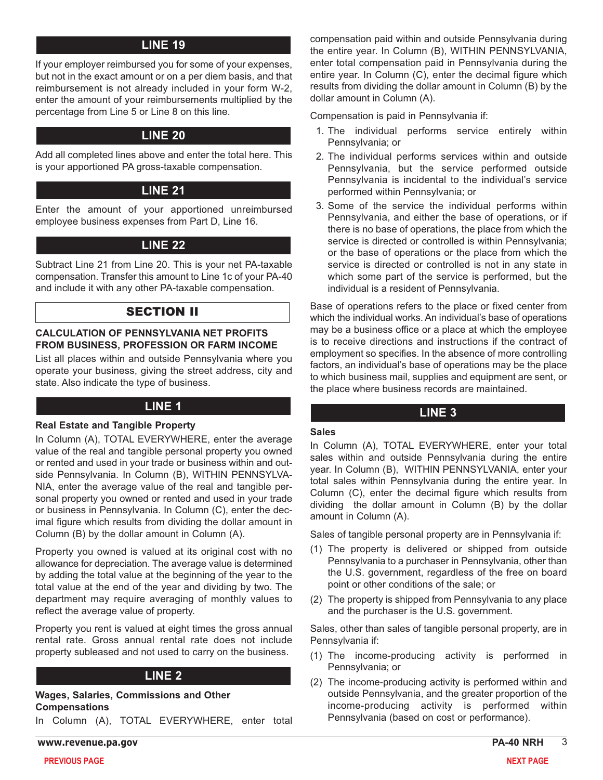# **LINE 19**

If your employer reimbursed you for some of your expenses, but not in the exact amount or on a per diem basis, and that reimbursement is not already included in your form W-2, enter the amount of your reimbursements multiplied by the percentage from Line 5 or Line 8 on this line.

## **LINE 20**

Add all completed lines above and enter the total here. This is your apportioned PA gross-taxable compensation.

#### **LINE 21**

Enter the amount of your apportioned unreimbursed employee business expenses from Part D, Line 16.

# **LINE 22**

Subtract Line 21 from Line 20. This is your net PA-taxable compensation. Transfer this amount to Line 1c of your PA-40 and include it with any other PA-taxable compensation.

#### SECTION II

#### **CALCULATION OF PENNSYLVANIA NET PROFITS FROM BUSINESS, PROFESSION OR FARM INCOME**

List all places within and outside Pennsylvania where you operate your business, giving the street address, city and state. Also indicate the type of business.

# **LINE 1**

#### **Real Estate and Tangible Property**

In Column (A), TOTAL EVERYWHERE, enter the average value of the real and tangible personal property you owned or rented and used in your trade or business within and outside Pennsylvania. In Column (B), WITHIN PENNSYLVA-NIA, enter the average value of the real and tangible personal property you owned or rented and used in your trade or business in Pennsylvania. In Column (C), enter the decimal figure which results from dividing the dollar amount in Column (B) by the dollar amount in Column (A).

Property you owned is valued at its original cost with no allowance for depreciation. The average value is determined by adding the total value at the beginning of the year to the total value at the end of the year and dividing by two. The department may require averaging of monthly values to reflect the average value of property.

Property you rent is valued at eight times the gross annual rental rate. Gross annual rental rate does not include property subleased and not used to carry on the business.

#### **LINE 2**

**Wages, Salaries, Commissions and Other Compensations**

In Column (A), TOTAL EVERYWHERE, enter total

**www.revenue.pa.gov PA-40 NRH** 3

compensation paid within and outside Pennsylvania during the entire year. In Column (B), WITHIN PENNSYLVANIA, enter total compensation paid in Pennsylvania during the entire year. In Column (C), enter the decimal figure which results from dividing the dollar amount in Column (B) by the dollar amount in Column (A).

Compensation is paid in Pennsylvania if:

- 1. The individual performs service entirely within Pennsylvania; or
- 2. The individual performs services within and outside Pennsylvania, but the service performed outside Pennsylvania is incidental to the individual's service performed within Pennsylvania; or
- 3. Some of the service the individual performs within Pennsylvania, and either the base of operations, or if there is no base of operations, the place from which the service is directed or controlled is within Pennsylvania; or the base of operations or the place from which the service is directed or controlled is not in any state in which some part of the service is performed, but the individual is a resident of Pennsylvania.

Base of operations refers to the place or fixed center from which the individual works. An individual's base of operations may be a business office or a place at which the employee is to receive directions and instructions if the contract of employment so specifies. In the absence of more controlling factors, an individual's base of operations may be the place to which business mail, supplies and equipment are sent, or the place where business records are maintained.

#### **LINE 3**

#### **Sales**

In Column (A), TOTAL EVERYWHERE, enter your total sales within and outside Pennsylvania during the entire year. In Column (B), WITHIN PENNSYLVANIA, enter your total sales within Pennsylvania during the entire year. In Column (C), enter the decimal figure which results from dividing the dollar amount in Column (B) by the dollar amount in Column (A).

Sales of tangible personal property are in Pennsylvania if:

- (1) The property is delivered or shipped from outside Pennsylvania to a purchaser in Pennsylvania, other than the U.S. government, regardless of the free on board point or other conditions of the sale; or
- (2) The property is shipped from Pennsylvania to any place and the purchaser is the U.S. government.

Sales, other than sales of tangible personal property, are in Pennsylvania if:

- (1) The income-producing activity is performed in Pennsylvania; or
- (2) The income-producing activity is performed within and outside Pennsylvania, and the greater proportion of the income-producing activity is performed within Pennsylvania (based on cost or performance).